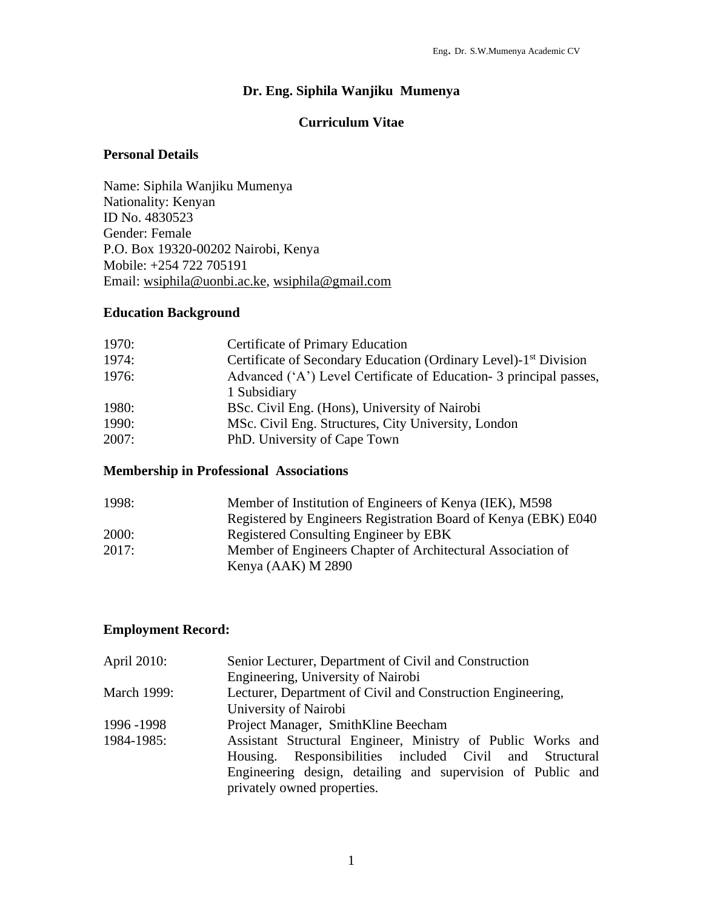# **Dr. Eng. Siphila Wanjiku Mumenya**

# **Curriculum Vitae**

# **Personal Details**

Name: Siphila Wanjiku Mumenya Nationality: Kenyan ID No. 4830523 Gender: Female P.O. Box 19320-00202 Nairobi, Kenya Mobile: +254 722 705191 Email: [wsiphila@uonbi.ac.ke,](mailto:wsiphila@uonbi.ac.ke) [wsiphila@gmail.com](mailto:msiphila@ymail.com)

# **Education Background**

| 1970: | Certificate of Primary Education                                             |
|-------|------------------------------------------------------------------------------|
| 1974: | Certificate of Secondary Education (Ordinary Level)-1 <sup>st</sup> Division |
| 1976: | Advanced ('A') Level Certificate of Education- 3 principal passes,           |
|       | 1 Subsidiary                                                                 |
| 1980: | BSc. Civil Eng. (Hons), University of Nairobi                                |
| 1990: | MSc. Civil Eng. Structures, City University, London                          |
| 2007: | PhD. University of Cape Town                                                 |

# **Membership in Professional Associations**

| 1998: | Member of Institution of Engineers of Kenya (IEK), M598        |
|-------|----------------------------------------------------------------|
|       | Registered by Engineers Registration Board of Kenya (EBK) E040 |
| 2000: | Registered Consulting Engineer by EBK                          |
| 2017: | Member of Engineers Chapter of Architectural Association of    |
|       | Kenya (AAK) M 2890                                             |

# **Employment Record:**

| April 2010:        | Senior Lecturer, Department of Civil and Construction       |  |  |  |  |
|--------------------|-------------------------------------------------------------|--|--|--|--|
|                    | Engineering, University of Nairobi                          |  |  |  |  |
| <b>March 1999:</b> | Lecturer, Department of Civil and Construction Engineering, |  |  |  |  |
|                    | University of Nairobi                                       |  |  |  |  |
| 1996 - 1998        | Project Manager, SmithKline Beecham                         |  |  |  |  |
| 1984-1985:         | Assistant Structural Engineer, Ministry of Public Works and |  |  |  |  |
|                    | Housing. Responsibilities included Civil and Structural     |  |  |  |  |
|                    | Engineering design, detailing and supervision of Public and |  |  |  |  |
|                    | privately owned properties.                                 |  |  |  |  |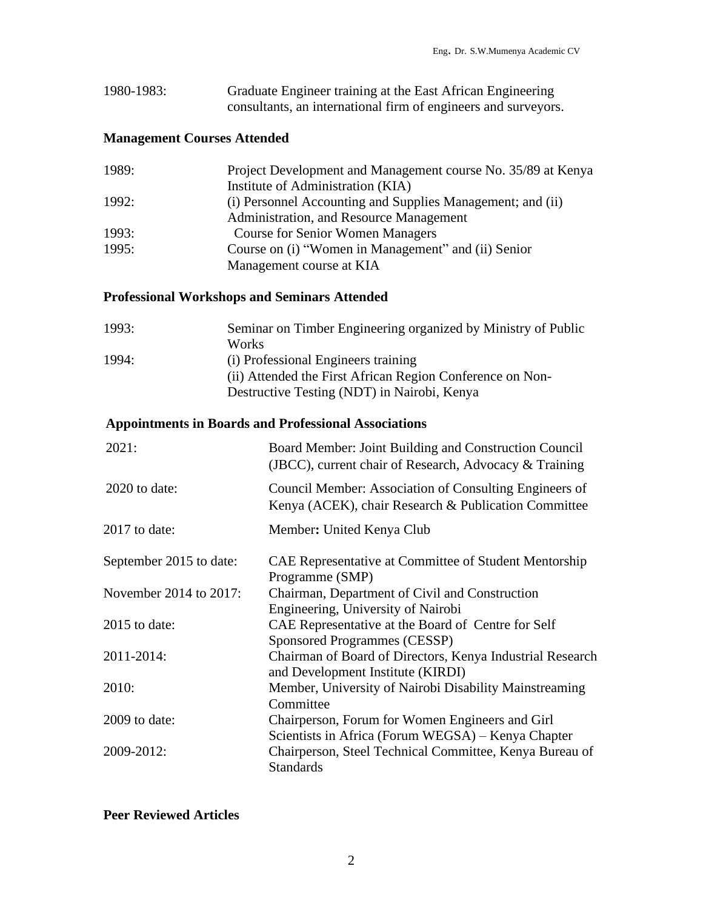| 1980-1983: | Graduate Engineer training at the East African Engineering     |
|------------|----------------------------------------------------------------|
|            | consultants, an international firm of engineers and surveyors. |

# **Management Courses Attended**

| 1989: | Project Development and Management course No. 35/89 at Kenya |
|-------|--------------------------------------------------------------|
|       | Institute of Administration (KIA)                            |
| 1992: | (i) Personnel Accounting and Supplies Management; and (ii)   |
|       | Administration, and Resource Management                      |
| 1993: | <b>Course for Senior Women Managers</b>                      |
| 1995: | Course on (i) "Women in Management" and (ii) Senior          |
|       | Management course at KIA                                     |

# **Professional Workshops and Seminars Attended**

| Seminar on Timber Engineering organized by Ministry of Public |
|---------------------------------------------------------------|
| <b>Works</b>                                                  |
| (i) Professional Engineers training                           |
| (ii) Attended the First African Region Conference on Non-     |
| Destructive Testing (NDT) in Nairobi, Kenya                   |
|                                                               |

# **Appointments in Boards and Professional Associations**

| 2021:                   | Board Member: Joint Building and Construction Council<br>(JBCC), current chair of Research, Advocacy & Training |
|-------------------------|-----------------------------------------------------------------------------------------------------------------|
| $2020$ to date:         | Council Member: Association of Consulting Engineers of<br>Kenya (ACEK), chair Research & Publication Committee  |
| 2017 to date:           | Member: United Kenya Club                                                                                       |
| September 2015 to date: | CAE Representative at Committee of Student Mentorship<br>Programme (SMP)                                        |
| November 2014 to 2017:  | Chairman, Department of Civil and Construction<br>Engineering, University of Nairobi                            |
| $2015$ to date:         | CAE Representative at the Board of Centre for Self<br><b>Sponsored Programmes (CESSP)</b>                       |
| 2011-2014:              | Chairman of Board of Directors, Kenya Industrial Research<br>and Development Institute (KIRDI)                  |
| 2010:                   | Member, University of Nairobi Disability Mainstreaming<br>Committee                                             |
| 2009 to date:           | Chairperson, Forum for Women Engineers and Girl<br>Scientists in Africa (Forum WEGSA) – Kenya Chapter           |
| 2009-2012:              | Chairperson, Steel Technical Committee, Kenya Bureau of<br><b>Standards</b>                                     |

# **Peer Reviewed Articles**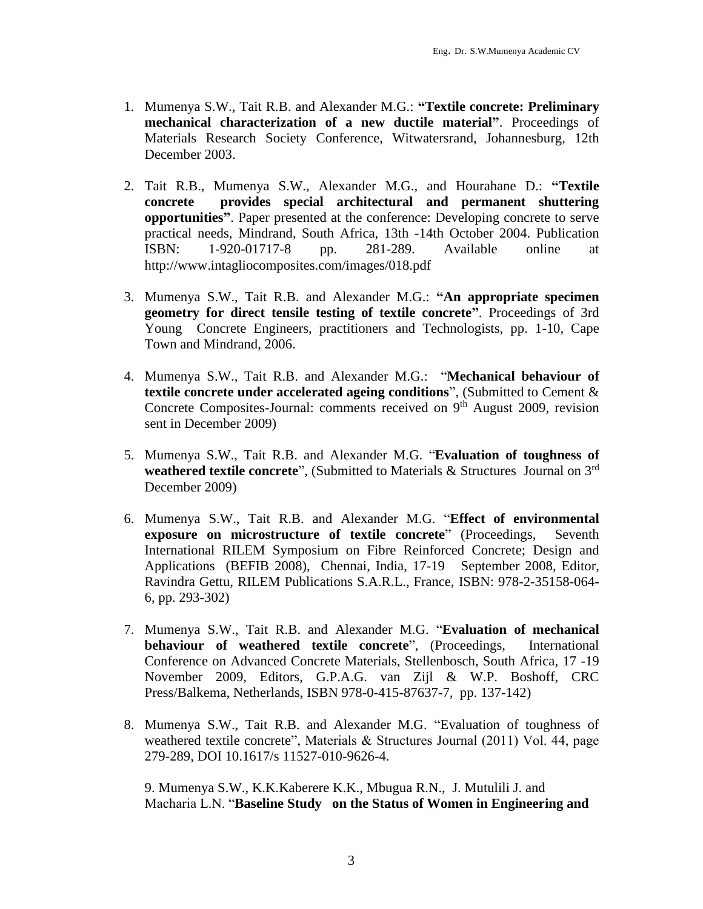- 1. Mumenya S.W., Tait R.B. and Alexander M.G.: **"Textile concrete: Preliminary mechanical characterization of a new ductile material"**. Proceedings of Materials Research Society Conference, Witwatersrand, Johannesburg, 12th December 2003.
- 2. Tait R.B., Mumenya S.W., Alexander M.G., and Hourahane D.: **"Textile concrete provides special architectural and permanent shuttering opportunities"**. Paper presented at the conference: Developing concrete to serve practical needs, Mindrand, South Africa, 13th -14th October 2004. Publication ISBN: 1-920-01717-8 pp. 281-289. Available online at <http://www.intagliocomposites.com/images/018.pdf>
- 3. Mumenya S.W., Tait R.B. and Alexander M.G.: **"An appropriate specimen geometry for direct tensile testing of textile concrete"**. Proceedings of 3rd Young Concrete Engineers, practitioners and Technologists, pp. 1-10, Cape Town and Mindrand, 2006.
- 4. Mumenya S.W., Tait R.B. and Alexander M.G.: "**Mechanical behaviour of textile concrete under accelerated ageing conditions**", (Submitted to Cement & Concrete Composites-Journal: comments received on 9<sup>th</sup> August 2009, revision sent in December 2009)
- 5. Mumenya S.W., Tait R.B. and Alexander M.G. "**Evaluation of toughness of weathered textile concrete**", (Submitted to Materials & Structures Journal on 3rd December 2009)
- 6. Mumenya S.W., Tait R.B. and Alexander M.G. "**Effect of environmental exposure on microstructure of textile concrete**" (Proceedings, Seventh International RILEM Symposium on Fibre Reinforced Concrete; Design and Applications (BEFIB 2008), Chennai, India, 17-19 September 2008, Editor, Ravindra Gettu, RILEM Publications S.A.R.L., France, ISBN: 978-2-35158-064- 6, pp. 293-302)
- 7. Mumenya S.W., Tait R.B. and Alexander M.G. "**Evaluation of mechanical behaviour of weathered textile concrete**", (Proceedings, International Conference on Advanced Concrete Materials, Stellenbosch, South Africa, 17 -19 November 2009, Editors, G.P.A.G. van Zijl & W.P. Boshoff, CRC Press/Balkema, Netherlands, ISBN 978-0-415-87637-7, pp. 137-142)
- 8. Mumenya S.W., Tait R.B. and Alexander M.G. "Evaluation of toughness of weathered textile concrete", Materials & Structures Journal (2011) Vol. 44, page 279-289, DOI 10.1617/s 11527-010-9626-4.

9. Mumenya S.W., K.K.Kaberere K.K., Mbugua R.N., J. Mutulili J. and Macharia L.N. "**Baseline Study on the Status of Women in Engineering and**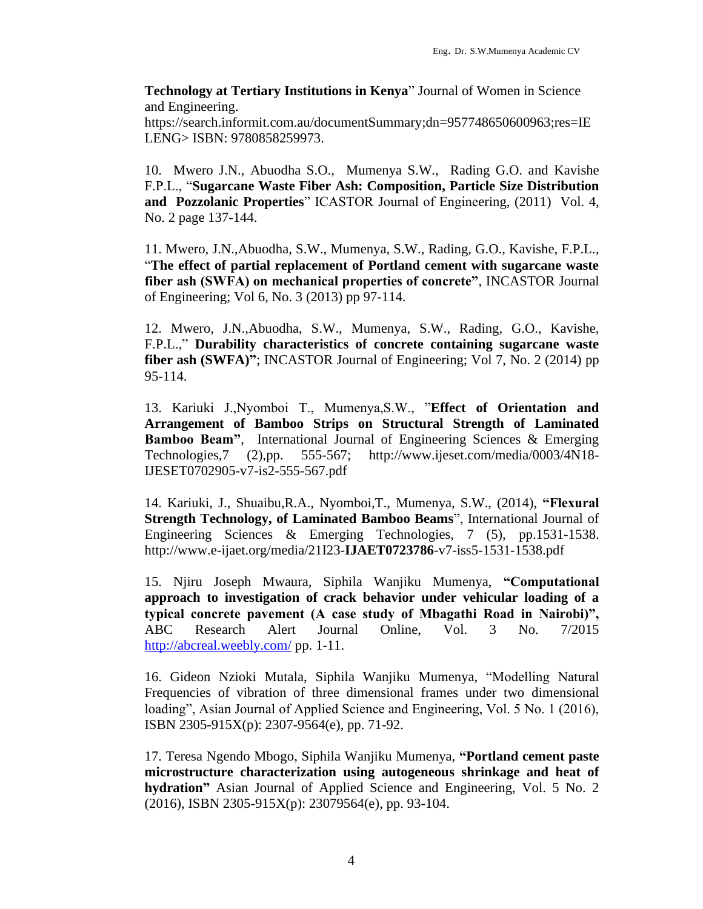**Technology at Tertiary Institutions in Kenya**" Journal of Women in Science and Engineering.

https://search.informit.com.au/documentSummary;dn=957748650600963;res=IE LENG> ISBN: 9780858259973.

10. Mwero J.N., Abuodha S.O., Mumenya S.W., Rading G.O. and Kavishe F.P.L., "**Sugarcane Waste Fiber Ash: Composition, Particle Size Distribution and Pozzolanic Properties**" ICASTOR Journal of Engineering, (2011) Vol. 4, No. 2 page 137-144.

11. Mwero, J.N.,Abuodha, S.W., Mumenya, S.W., Rading, G.O., Kavishe, F.P.L., "**The effect of partial replacement of Portland cement with sugarcane waste fiber ash (SWFA) on mechanical properties of concrete"**, INCASTOR Journal of Engineering; Vol 6, No. 3 (2013) pp 97-114.

12. Mwero, J.N.,Abuodha, S.W., Mumenya, S.W., Rading, G.O., Kavishe, F.P.L.," **Durability characteristics of concrete containing sugarcane waste fiber ash (SWFA)"**; INCASTOR Journal of Engineering; Vol 7, No. 2 (2014) pp 95-114.

13. Kariuki J.,Nyomboi T., Mumenya,S.W., "**Effect of Orientation and Arrangement of Bamboo Strips on Structural Strength of Laminated Bamboo Beam"**, International Journal of Engineering Sciences & Emerging Technologies,7 (2),pp. 555-567; [http://www.ijeset.com/media/0003/4N18-](http://www.ijeset.com/media/0003/4N18-IJESET0702905-v7-is2-555-567.pdf) [IJESET0702905-v7-is2-555-567.pdf](http://www.ijeset.com/media/0003/4N18-IJESET0702905-v7-is2-555-567.pdf)

14. Kariuki, J., Shuaibu,R.A., Nyomboi,T., Mumenya, S.W., (2014), **"Flexural Strength Technology, of Laminated Bamboo Beams**", International Journal of Engineering Sciences & Emerging Technologies, 7 (5), pp.1531-1538. [http://www.e-ijaet.org/media/21I23-](http://www.e-ijaet.org/media/21I23-IJAET0723786-v7-iss5-1531-1538.pdf)**IJAET0723786**-v7-iss5-1531-1538.pdf

15. Njiru Joseph Mwaura, Siphila Wanjiku Mumenya, **"Computational approach to investigation of crack behavior under vehicular loading of a typical concrete pavement (A case study of Mbagathi Road in Nairobi)",** ABC Research Alert Journal Online, Vol. 3 No. 7/2015 <http://abcreal.weebly.com/> pp. 1-11.

16. Gideon Nzioki Mutala, Siphila Wanjiku Mumenya, "Modelling Natural Frequencies of vibration of three dimensional frames under two dimensional loading", Asian Journal of Applied Science and Engineering, Vol. 5 No. 1 (2016), ISBN 2305-915X(p): 2307-9564(e), pp. 71-92.

17. Teresa Ngendo Mbogo, Siphila Wanjiku Mumenya, **"Portland cement paste microstructure characterization using autogeneous shrinkage and heat of hydration"** Asian Journal of Applied Science and Engineering, Vol. 5 No. 2 (2016), ISBN 2305-915X(p): 23079564(e), pp. 93-104.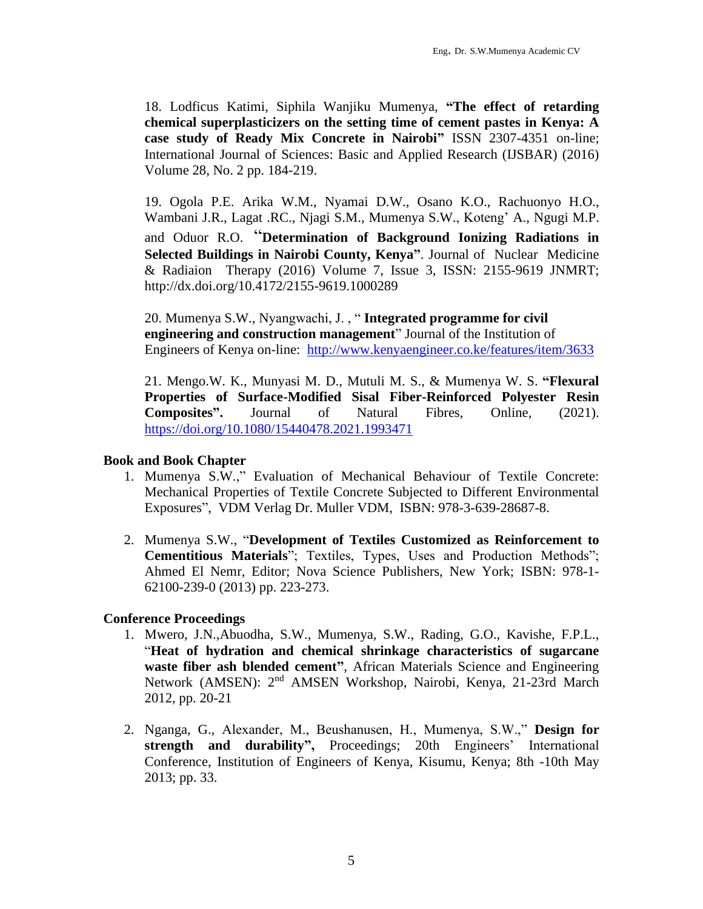18. Lodficus Katimi, Siphila Wanjiku Mumenya, **"The effect of retarding chemical superplasticizers on the setting time of cement pastes in Kenya: A case study of Ready Mix Concrete in Nairobi"** ISSN 2307-4351 on-line; International Journal of Sciences: Basic and Applied Research (IJSBAR) (2016) Volume 28, No. 2 pp. 184-219.

19. Ogola P.E. Arika W.M., Nyamai D.W., Osano K.O., Rachuonyo H.O., Wambani J.R., Lagat .RC., Njagi S.M., Mumenya S.W., Koteng' A., Ngugi M.P. and Oduor R.O. "**Determination of Background Ionizing Radiations in Selected Buildings in Nairobi County, Kenya"**. Journal of Nuclear Medicine & Radiaion Therapy (2016) Volume 7, Issue 3, ISSN: 2155-9619 JNMRT; http://dx.doi.org/10.4172/2155-9619.1000289

20. Mumenya S.W., Nyangwachi, J. , " **Integrated programme for civil engineering and construction management**" Journal of the Institution of Engineers of Kenya on-line: <http://www.kenyaengineer.co.ke/features/item/3633>

21. Mengo.W. K., Munyasi M. D., Mutuli M. S., & Mumenya W. S. **"Flexural Properties of Surface-Modified Sisal Fiber-Reinforced Polyester Resin Composites".** Journal of Natural Fibres, Online, (2021). https://doi.org/10.1080/15440478.2021.1993471

#### **Book and Book Chapter**

- 1. Mumenya S.W.," Evaluation of Mechanical Behaviour of Textile Concrete: Mechanical Properties of Textile Concrete Subjected to Different Environmental Exposures", VDM Verlag Dr. Muller VDM, ISBN: 978-3-639-28687-8.
- 2. Mumenya S.W., "**Development of Textiles Customized as Reinforcement to Cementitious Materials**"; Textiles, Types, Uses and Production Methods"; Ahmed El Nemr, Editor; Nova Science Publishers, New York; ISBN: 978-1- 62100-239-0 (2013) pp. 223-273.

## **Conference Proceedings**

- 1. Mwero, J.N.,Abuodha, S.W., Mumenya, S.W., Rading, G.O., Kavishe, F.P.L., "**Heat of hydration and chemical shrinkage characteristics of sugarcane waste fiber ash blended cement"**, African Materials Science and Engineering Network (AMSEN): 2<sup>nd</sup> AMSEN Workshop, Nairobi, Kenya, 21-23rd March 2012, pp. 20-21
- 2. Nganga, G., Alexander, M., Beushanusen, H., Mumenya, S.W.," **Design for strength and durability",** Proceedings; 20th Engineers' International Conference, Institution of Engineers of Kenya, Kisumu, Kenya; 8th -10th May 2013; pp. 33.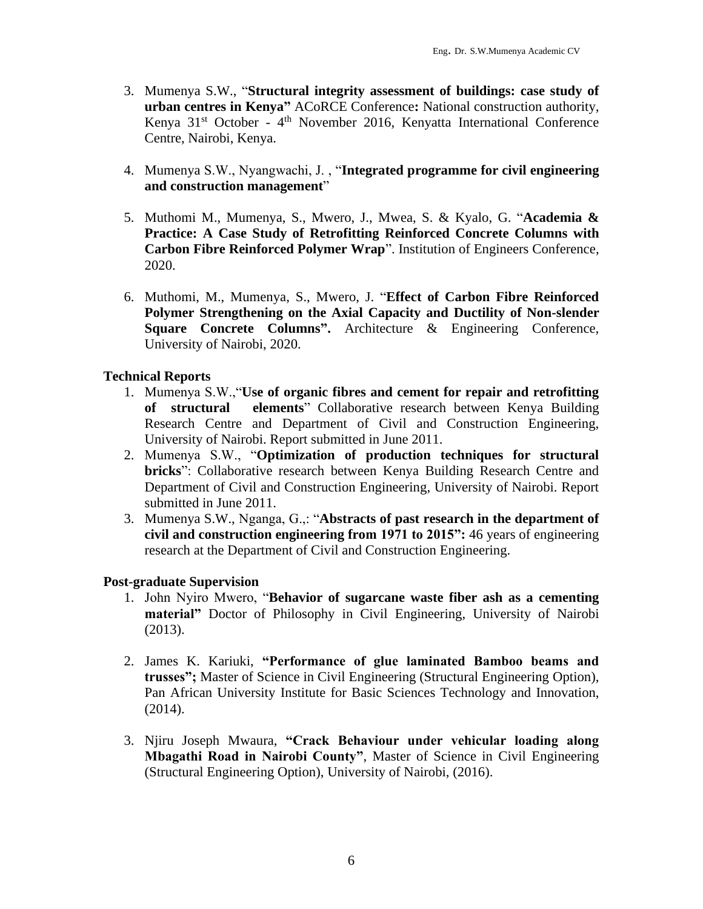- 3. Mumenya S.W., "**Structural integrity assessment of buildings: case study of urban centres in Kenya"** ACoRCE Conference**:** National construction authority, Kenya 31<sup>st</sup> October - 4<sup>th</sup> November 2016, Kenyatta International Conference Centre, Nairobi, Kenya.
- 4. Mumenya S.W., Nyangwachi, J. , "**Integrated programme for civil engineering and construction management**"
- 5. Muthomi M., Mumenya, S., Mwero, J., Mwea, S. & Kyalo, G. "**Academia & Practice: A Case Study of Retrofitting Reinforced Concrete Columns with Carbon Fibre Reinforced Polymer Wrap**". Institution of Engineers Conference, 2020.
- 6. Muthomi, M., Mumenya, S., Mwero, J. "**Effect of Carbon Fibre Reinforced Polymer Strengthening on the Axial Capacity and Ductility of Non-slender Square Concrete Columns".** Architecture & Engineering Conference, University of Nairobi, 2020.

## **Technical Reports**

- 1. Mumenya S.W.,"**Use of organic fibres and cement for repair and retrofitting of structural elements**" Collaborative research between Kenya Building Research Centre and Department of Civil and Construction Engineering, University of Nairobi. Report submitted in June 2011.
- 2. Mumenya S.W., "**Optimization of production techniques for structural bricks**": Collaborative research between Kenya Building Research Centre and Department of Civil and Construction Engineering, University of Nairobi. Report submitted in June 2011.
- 3. Mumenya S.W., Nganga, G.,: "**Abstracts of past research in the department of civil and construction engineering from 1971 to 2015":** 46 years of engineering research at the Department of Civil and Construction Engineering.

## **Post-graduate Supervision**

- 1. John Nyiro Mwero, "**Behavior of sugarcane waste fiber ash as a cementing material"** Doctor of Philosophy in Civil Engineering, University of Nairobi (2013).
- 2. James K. Kariuki, **"Performance of glue laminated Bamboo beams and trusses";** Master of Science in Civil Engineering (Structural Engineering Option), Pan African University Institute for Basic Sciences Technology and Innovation, (2014).
- 3. Njiru Joseph Mwaura, **"Crack Behaviour under vehicular loading along Mbagathi Road in Nairobi County"**, Master of Science in Civil Engineering (Structural Engineering Option), University of Nairobi, (2016).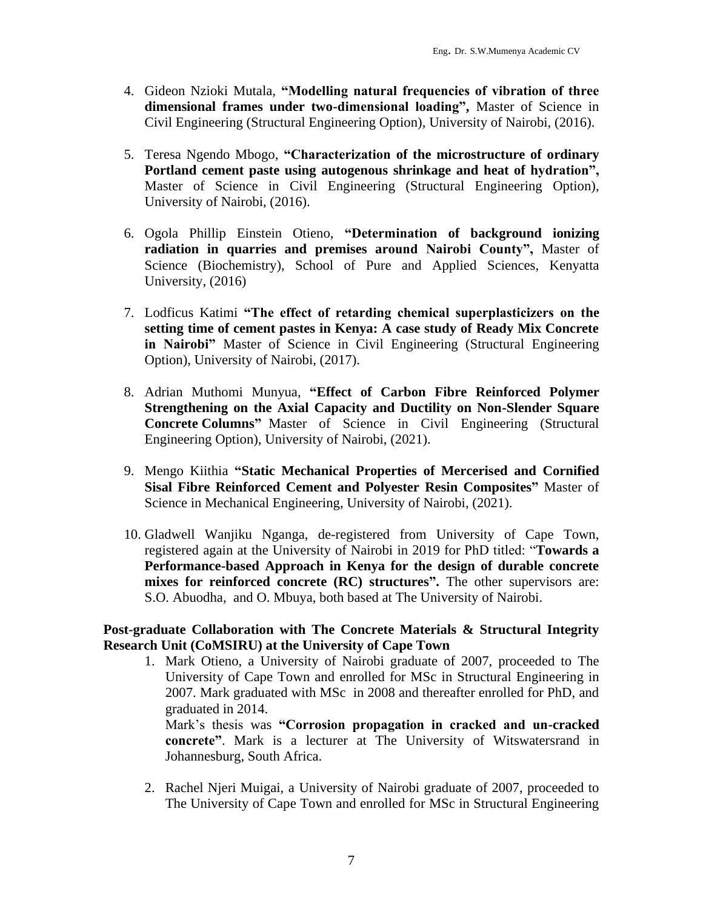- 4. Gideon Nzioki Mutala, **"Modelling natural frequencies of vibration of three dimensional frames under two-dimensional loading",** Master of Science in Civil Engineering (Structural Engineering Option), University of Nairobi, (2016).
- 5. Teresa Ngendo Mbogo, **"Characterization of the microstructure of ordinary Portland cement paste using autogenous shrinkage and heat of hydration",** Master of Science in Civil Engineering (Structural Engineering Option), University of Nairobi, (2016).
- 6. Ogola Phillip Einstein Otieno, **"Determination of background ionizing radiation in quarries and premises around Nairobi County",** Master of Science (Biochemistry), School of Pure and Applied Sciences, Kenyatta University, (2016)
- 7. Lodficus Katimi **"The effect of retarding chemical superplasticizers on the setting time of cement pastes in Kenya: A case study of Ready Mix Concrete in Nairobi"** Master of Science in Civil Engineering (Structural Engineering Option), University of Nairobi, (2017).
- 8. Adrian Muthomi Munyua, **"Effect of Carbon Fibre Reinforced Polymer Strengthening on the Axial Capacity and Ductility on Non-Slender Square Concrete Columns"** Master of Science in Civil Engineering (Structural Engineering Option), University of Nairobi, (2021).
- 9. Mengo Kiithia **"Static Mechanical Properties of Mercerised and Cornified Sisal Fibre Reinforced Cement and Polyester Resin Composites"** Master of Science in Mechanical Engineering, University of Nairobi, (2021).
- 10. Gladwell Wanjiku Nganga, de-registered from University of Cape Town, registered again at the University of Nairobi in 2019 for PhD titled: "**Towards a Performance-based Approach in Kenya for the design of durable concrete mixes for reinforced concrete (RC) structures".** The other supervisors are: S.O. Abuodha, and O. Mbuya, both based at The University of Nairobi.

## **Post-graduate Collaboration with The Concrete Materials & Structural Integrity Research Unit (CoMSIRU) at the University of Cape Town**

1. Mark Otieno, a University of Nairobi graduate of 2007, proceeded to The University of Cape Town and enrolled for MSc in Structural Engineering in 2007. Mark graduated with MSc in 2008 and thereafter enrolled for PhD, and graduated in 2014.

Mark's thesis was **"Corrosion propagation in cracked and un-cracked concrete"**. Mark is a lecturer at The University of Witswatersrand in Johannesburg, South Africa.

2. Rachel Njeri Muigai, a University of Nairobi graduate of 2007, proceeded to The University of Cape Town and enrolled for MSc in Structural Engineering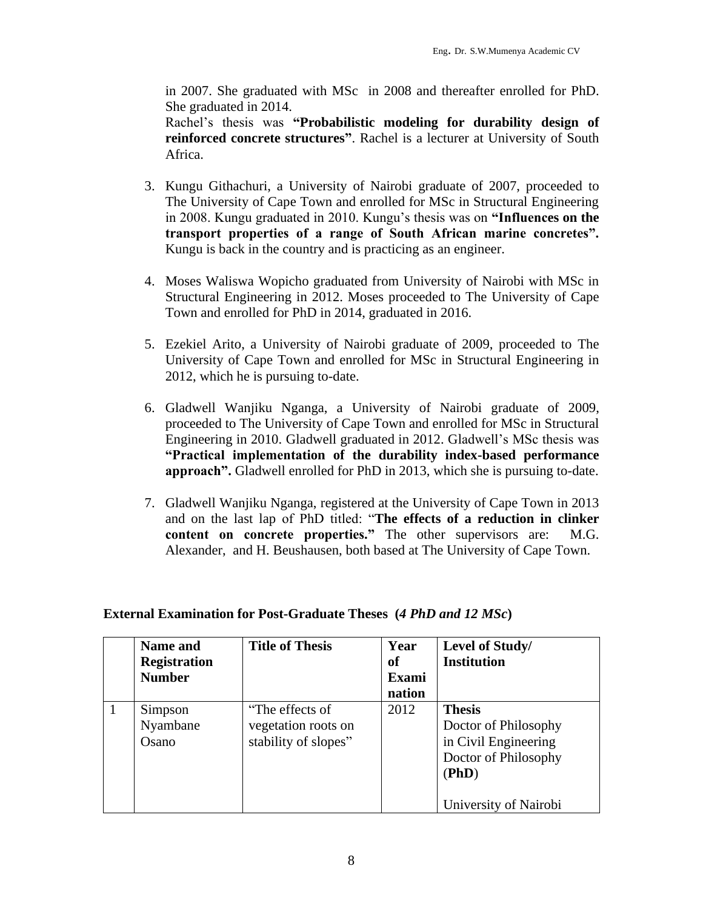in 2007. She graduated with MSc in 2008 and thereafter enrolled for PhD. She graduated in 2014.

Rachel's thesis was **"Probabilistic modeling for durability design of reinforced concrete structures"**. Rachel is a lecturer at University of South Africa.

- 3. Kungu Githachuri, a University of Nairobi graduate of 2007, proceeded to The University of Cape Town and enrolled for MSc in Structural Engineering in 2008. Kungu graduated in 2010. Kungu's thesis was on **"Influences on the transport properties of a range of South African marine concretes".** Kungu is back in the country and is practicing as an engineer.
- 4. Moses Waliswa Wopicho graduated from University of Nairobi with MSc in Structural Engineering in 2012. Moses proceeded to The University of Cape Town and enrolled for PhD in 2014, graduated in 2016.
- 5. Ezekiel Arito, a University of Nairobi graduate of 2009, proceeded to The University of Cape Town and enrolled for MSc in Structural Engineering in 2012, which he is pursuing to-date.
- 6. Gladwell Wanjiku Nganga, a University of Nairobi graduate of 2009, proceeded to The University of Cape Town and enrolled for MSc in Structural Engineering in 2010. Gladwell graduated in 2012. Gladwell's MSc thesis was **"Practical implementation of the durability index-based performance approach".** Gladwell enrolled for PhD in 2013, which she is pursuing to-date.
- 7. Gladwell Wanjiku Nganga, registered at the University of Cape Town in 2013 and on the last lap of PhD titled: "**The effects of a reduction in clinker content on concrete properties."** The other supervisors are: M.G. Alexander, and H. Beushausen, both based at The University of Cape Town.

| <b>Name and</b><br><b>Registration</b><br><b>Number</b> | <b>Title of Thesis</b>                                         | Year<br>of<br>Exami<br>nation | Level of Study/<br><b>Institution</b>                                                                                   |
|---------------------------------------------------------|----------------------------------------------------------------|-------------------------------|-------------------------------------------------------------------------------------------------------------------------|
| Simpson<br>Nyambane<br>Osano                            | "The effects of<br>vegetation roots on<br>stability of slopes" | 2012                          | <b>Thesis</b><br>Doctor of Philosophy<br>in Civil Engineering<br>Doctor of Philosophy<br>(PhD)<br>University of Nairobi |

## **External Examination for Post-Graduate Theses (***4 PhD and 12 MSc***)**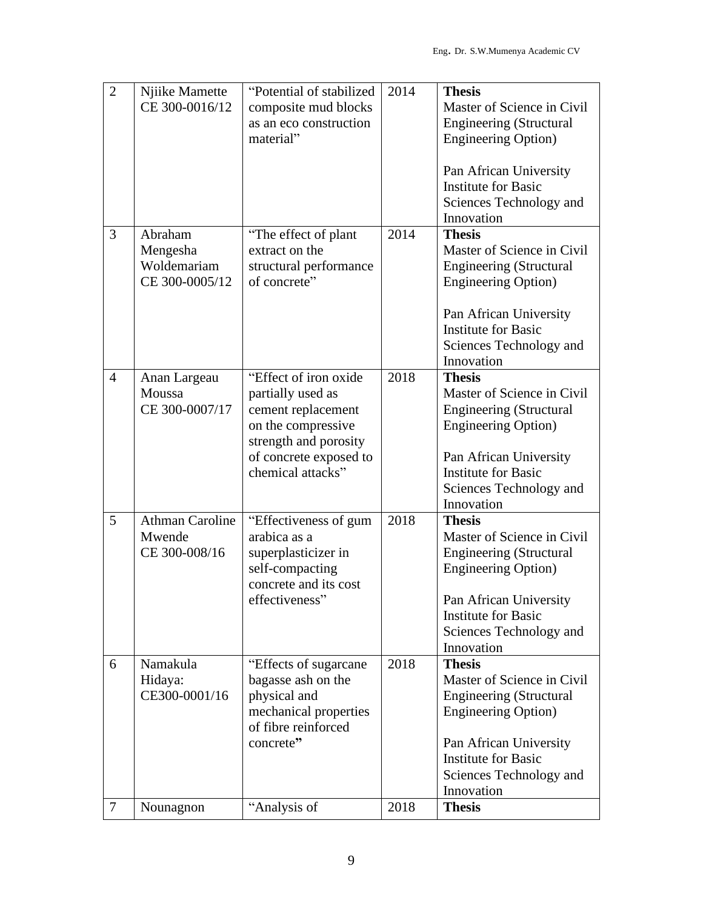| $\overline{2}$ | Njiike Mamette<br>CE 300-0016/12                     | "Potential of stabilized<br>composite mud blocks<br>as an eco construction<br>material"                                                                        | 2014 | <b>Thesis</b><br>Master of Science in Civil<br><b>Engineering (Structural</b><br><b>Engineering Option</b> )<br>Pan African University<br><b>Institute for Basic</b><br>Sciences Technology and<br>Innovation |
|----------------|------------------------------------------------------|----------------------------------------------------------------------------------------------------------------------------------------------------------------|------|---------------------------------------------------------------------------------------------------------------------------------------------------------------------------------------------------------------|
| 3              | Abraham<br>Mengesha<br>Woldemariam<br>CE 300-0005/12 | "The effect of plant"<br>extract on the<br>structural performance<br>of concrete"                                                                              | 2014 | <b>Thesis</b><br>Master of Science in Civil<br><b>Engineering (Structural</b><br><b>Engineering Option</b> )<br>Pan African University<br><b>Institute for Basic</b><br>Sciences Technology and<br>Innovation |
| $\overline{4}$ | Anan Largeau<br>Moussa<br>CE 300-0007/17             | "Effect of iron oxide<br>partially used as<br>cement replacement<br>on the compressive<br>strength and porosity<br>of concrete exposed to<br>chemical attacks" | 2018 | <b>Thesis</b><br>Master of Science in Civil<br><b>Engineering (Structural</b><br><b>Engineering Option</b> )<br>Pan African University<br><b>Institute for Basic</b><br>Sciences Technology and<br>Innovation |
| 5              | <b>Athman Caroline</b><br>Mwende<br>CE 300-008/16    | "Effectiveness of gum<br>arabica as a<br>superplasticizer in<br>self-compacting<br>concrete and its cost<br>effectiveness"                                     | 2018 | <b>Thesis</b><br>Master of Science in Civil<br><b>Engineering (Structural</b><br><b>Engineering Option</b> )<br>Pan African University<br><b>Institute for Basic</b><br>Sciences Technology and<br>Innovation |
| 6              | Namakula<br>Hidaya:<br>CE300-0001/16                 | "Effects of sugarcane"<br>bagasse ash on the<br>physical and<br>mechanical properties<br>of fibre reinforced<br>concrete"                                      | 2018 | <b>Thesis</b><br>Master of Science in Civil<br><b>Engineering (Structural</b><br><b>Engineering Option</b> )<br>Pan African University<br><b>Institute for Basic</b><br>Sciences Technology and<br>Innovation |
| $\overline{7}$ | Nounagnon                                            | "Analysis of                                                                                                                                                   | 2018 | <b>Thesis</b>                                                                                                                                                                                                 |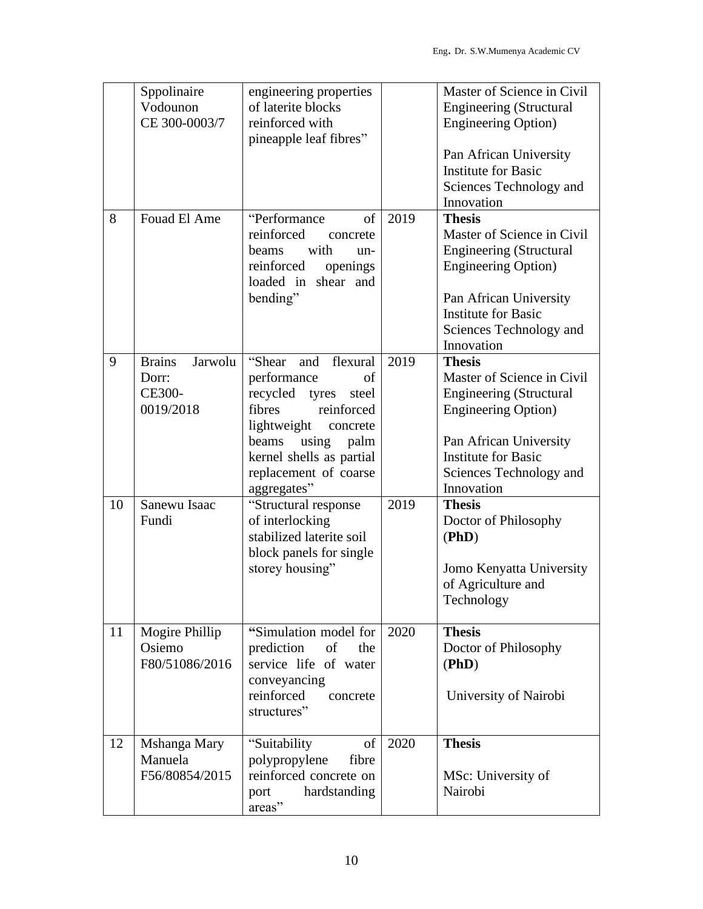|    | Sppolinaire<br>Vodounon<br>CE 300-0003/7                        | engineering properties<br>of laterite blocks<br>reinforced with<br>pineapple leaf fibres"                                                                                                                            |      | Master of Science in Civil<br><b>Engineering (Structural</b><br><b>Engineering Option</b> )<br>Pan African University<br><b>Institute for Basic</b><br>Sciences Technology and<br>Innovation                  |
|----|-----------------------------------------------------------------|----------------------------------------------------------------------------------------------------------------------------------------------------------------------------------------------------------------------|------|---------------------------------------------------------------------------------------------------------------------------------------------------------------------------------------------------------------|
| 8  | Fouad El Ame                                                    | "Performance"<br>of<br>reinforced<br>concrete<br>with<br><b>beams</b><br>un-<br>reinforced<br>openings<br>loaded in shear and<br>bending"                                                                            | 2019 | <b>Thesis</b><br>Master of Science in Civil<br><b>Engineering (Structural</b><br><b>Engineering Option</b> )<br>Pan African University<br><b>Institute for Basic</b><br>Sciences Technology and<br>Innovation |
| 9  | <b>Brains</b><br>Jarwolu<br>Dorr:<br><b>CE300-</b><br>0019/2018 | "Shear<br>and flexural<br>performance<br>of<br>recycled tyres steel<br>fibres<br>reinforced<br>lightweight<br>concrete<br>using<br>palm<br>beams<br>kernel shells as partial<br>replacement of coarse<br>aggregates" | 2019 | <b>Thesis</b><br>Master of Science in Civil<br><b>Engineering (Structural</b><br><b>Engineering Option</b> )<br>Pan African University<br><b>Institute for Basic</b><br>Sciences Technology and<br>Innovation |
| 10 | Sanewu Isaac<br>Fundi                                           | "Structural response<br>of interlocking<br>stabilized laterite soil<br>block panels for single<br>storey housing"                                                                                                    | 2019 | <b>Thesis</b><br>Doctor of Philosophy<br>(PhD)<br>Jomo Kenyatta University<br>of Agriculture and<br>Technology                                                                                                |
| 11 | Mogire Phillip<br>Osiemo<br>F80/51086/2016                      | "Simulation model for<br>prediction<br>of<br>the<br>service life of water<br>conveyancing<br>reinforced<br>concrete<br>structures"                                                                                   | 2020 | <b>Thesis</b><br>Doctor of Philosophy<br>(PhD)<br>University of Nairobi                                                                                                                                       |
| 12 | Mshanga Mary<br>Manuela<br>F56/80854/2015                       | of<br>"Suitability"<br>polypropylene<br>fibre<br>reinforced concrete on<br>hardstanding<br>port<br>areas"                                                                                                            | 2020 | <b>Thesis</b><br>MSc: University of<br>Nairobi                                                                                                                                                                |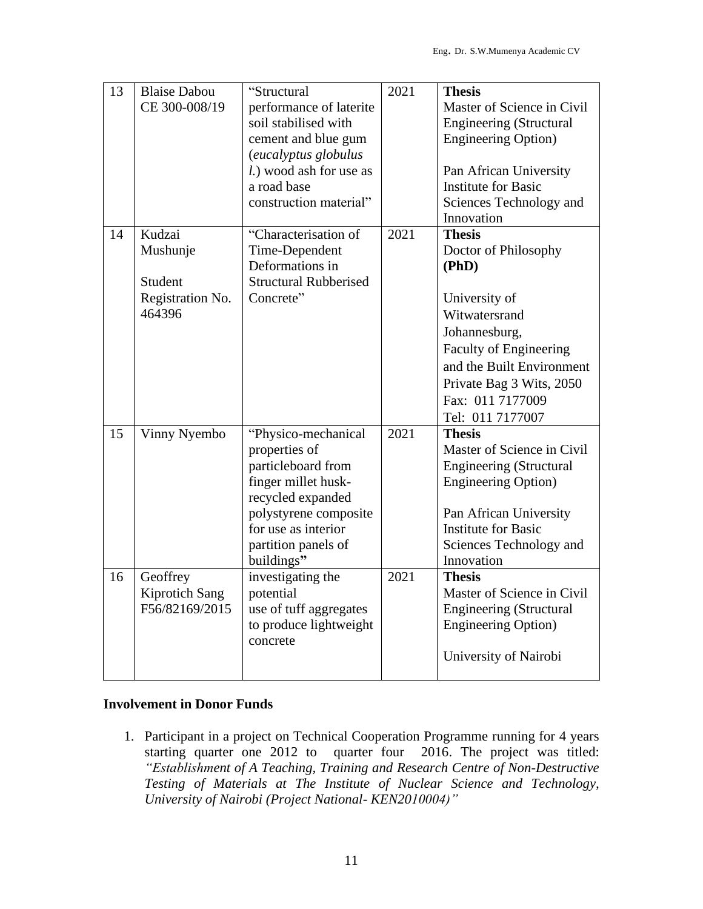| 13 | <b>Blaise Dabou</b><br>CE 300-008/19                        | "Structural<br>performance of laterite<br>soil stabilised with<br>cement and blue gum<br>(eucalyptus globulus<br>l.) wood ash for use as<br>a road base<br>construction material"           | 2021 | <b>Thesis</b><br>Master of Science in Civil<br><b>Engineering (Structural</b><br><b>Engineering Option</b> )<br>Pan African University<br><b>Institute for Basic</b><br>Sciences Technology and<br>Innovation                |
|----|-------------------------------------------------------------|---------------------------------------------------------------------------------------------------------------------------------------------------------------------------------------------|------|------------------------------------------------------------------------------------------------------------------------------------------------------------------------------------------------------------------------------|
| 14 | Kudzai<br>Mushunje<br>Student<br>Registration No.<br>464396 | "Characterisation of<br>Time-Dependent<br>Deformations in<br><b>Structural Rubberised</b><br>Concrete"                                                                                      | 2021 | <b>Thesis</b><br>Doctor of Philosophy<br>(PhD)<br>University of<br>Witwatersrand<br>Johannesburg,<br>Faculty of Engineering<br>and the Built Environment<br>Private Bag 3 Wits, 2050<br>Fax: 011 7177009<br>Tel: 011 7177007 |
| 15 | Vinny Nyembo                                                | "Physico-mechanical<br>properties of<br>particleboard from<br>finger millet husk-<br>recycled expanded<br>polystyrene composite<br>for use as interior<br>partition panels of<br>buildings" | 2021 | <b>Thesis</b><br>Master of Science in Civil<br><b>Engineering (Structural</b><br><b>Engineering Option</b> )<br>Pan African University<br><b>Institute for Basic</b><br>Sciences Technology and<br>Innovation                |
| 16 | Geoffrey<br>Kiprotich Sang<br>F56/82169/2015                | investigating the<br>potential<br>use of tuff aggregates<br>to produce lightweight<br>concrete                                                                                              | 2021 | <b>Thesis</b><br>Master of Science in Civil<br><b>Engineering (Structural</b><br><b>Engineering Option</b> )<br>University of Nairobi                                                                                        |

#### **Involvement in Donor Funds**

1. Participant in a project on Technical Cooperation Programme running for 4 years starting quarter one 2012 to quarter four 2016. The project was titled: *"Establishment of A Teaching, Training and Research Centre of Non-Destructive Testing of Materials at The Institute of Nuclear Science and Technology, University of Nairobi (Project National- KEN2010004)"*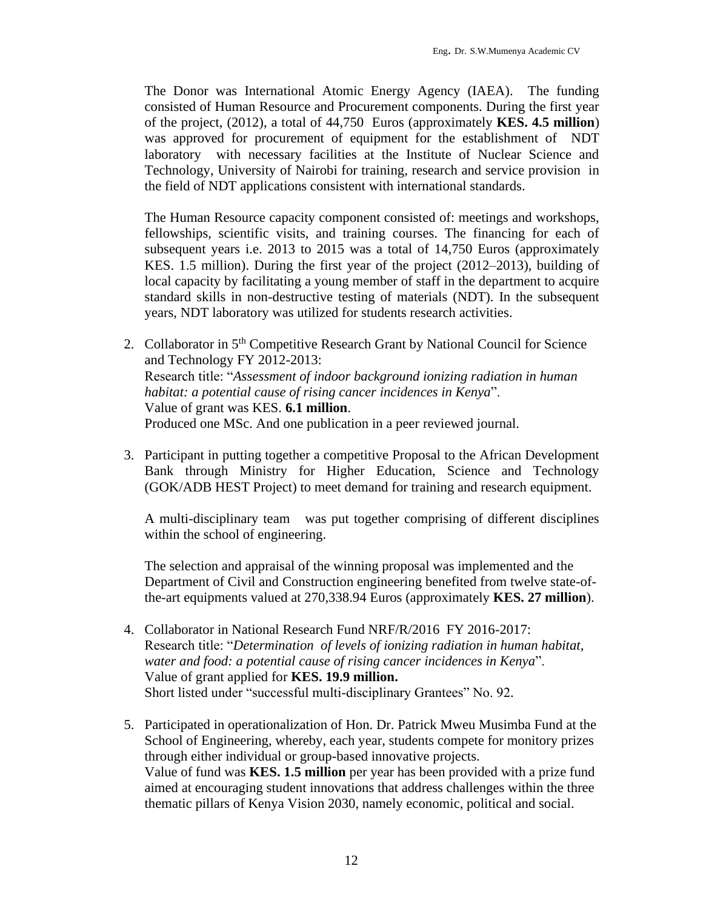The Donor was International Atomic Energy Agency (IAEA). The funding consisted of Human Resource and Procurement components. During the first year of the project, (2012), a total of 44,750 Euros (approximately **KES. 4.5 million**) was approved for procurement of equipment for the establishment of NDT laboratory with necessary facilities at the Institute of Nuclear Science and Technology, University of Nairobi for training, research and service provision in the field of NDT applications consistent with international standards.

The Human Resource capacity component consisted of: meetings and workshops, fellowships, scientific visits, and training courses. The financing for each of subsequent years i.e. 2013 to 2015 was a total of 14,750 Euros (approximately KES. 1.5 million). During the first year of the project (2012–2013), building of local capacity by facilitating a young member of staff in the department to acquire standard skills in non-destructive testing of materials (NDT). In the subsequent years, NDT laboratory was utilized for students research activities.

- 2. Collaborator in 5<sup>th</sup> Competitive Research Grant by National Council for Science and Technology FY 2012-2013: Research title: "*Assessment of indoor background ionizing radiation in human habitat: a potential cause of rising cancer incidences in Kenya*". Value of grant was KES. **6.1 million**. Produced one MSc. And one publication in a peer reviewed journal.
- 3. Participant in putting together a competitive Proposal to the African Development Bank through Ministry for Higher Education, Science and Technology (GOK/ADB HEST Project) to meet demand for training and research equipment.

A multi-disciplinary team was put together comprising of different disciplines within the school of engineering.

The selection and appraisal of the winning proposal was implemented and the Department of Civil and Construction engineering benefited from twelve state-ofthe-art equipments valued at 270,338.94 Euros (approximately **KES. 27 million**).

- 4. Collaborator in National Research Fund NRF/R/2016 FY 2016-2017: Research title: "*Determination of levels of ionizing radiation in human habitat, water and food: a potential cause of rising cancer incidences in Kenya*". Value of grant applied for **KES. 19.9 million.** Short listed under "successful multi-disciplinary Grantees" No. 92.
- 5. Participated in operationalization of Hon. Dr. Patrick Mweu Musimba Fund at the School of Engineering, whereby, each year, students compete for monitory prizes through either individual or group-based innovative projects. Value of fund was **KES. 1.5 million** per year has been provided with a prize fund aimed at encouraging student innovations that address challenges within the three thematic pillars of Kenya Vision 2030, namely economic, political and social.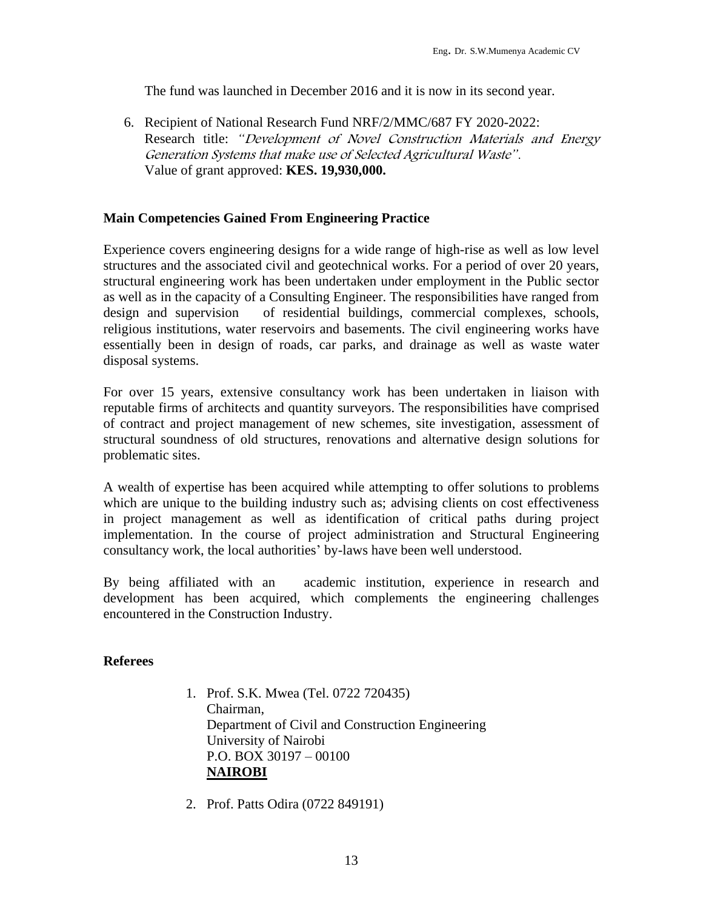The fund was launched in December 2016 and it is now in its second year.

6. Recipient of National Research Fund NRF/2/MMC/687 FY 2020-2022: Research title: *"*Development of Novel Construction Materials and Energy Generation Systems that make use of Selected Agricultural Waste*".* Value of grant approved: **KES. 19,930,000.**

## **Main Competencies Gained From Engineering Practice**

Experience covers engineering designs for a wide range of high-rise as well as low level structures and the associated civil and geotechnical works. For a period of over 20 years, structural engineering work has been undertaken under employment in the Public sector as well as in the capacity of a Consulting Engineer. The responsibilities have ranged from design and supervision of residential buildings, commercial complexes, schools, religious institutions, water reservoirs and basements. The civil engineering works have essentially been in design of roads, car parks, and drainage as well as waste water disposal systems.

For over 15 years, extensive consultancy work has been undertaken in liaison with reputable firms of architects and quantity surveyors. The responsibilities have comprised of contract and project management of new schemes, site investigation, assessment of structural soundness of old structures, renovations and alternative design solutions for problematic sites.

A wealth of expertise has been acquired while attempting to offer solutions to problems which are unique to the building industry such as; advising clients on cost effectiveness in project management as well as identification of critical paths during project implementation. In the course of project administration and Structural Engineering consultancy work, the local authorities' by-laws have been well understood.

By being affiliated with an academic institution, experience in research and development has been acquired, which complements the engineering challenges encountered in the Construction Industry.

## **Referees**

- 1. Prof. S.K. Mwea (Tel. 0722 720435) Chairman, Department of Civil and Construction Engineering University of Nairobi P.O. BOX 30197 – 00100 **NAIROBI**
- 2. Prof. Patts Odira (0722 849191)